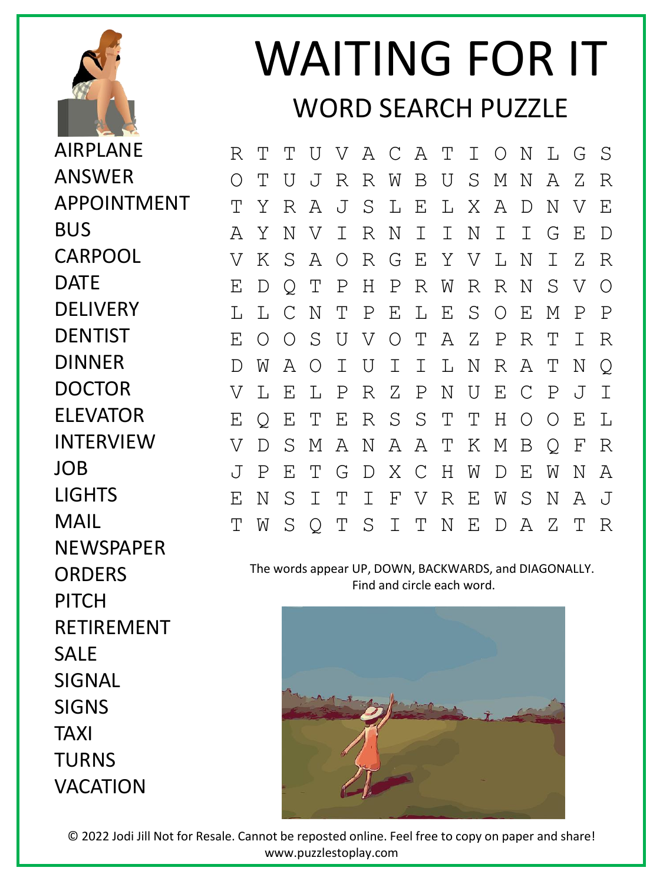

## WAITING FOR IT WORD SEARCH PUZZLE

R T T U V A C A T I O N L G S O T U J R R W B U S M N A Z R T Y R A J S L E L X A D N V E A Y N V I R N I I N I I G E D V K S A O R G E Y V L N I Z R E D Q T P H P R W R R N S V O L L C N T P E L E S O E M P P E O O S U V O T A Z P R T I R D W A O I U I I L N R A T N Q V L E L P R Z P N U E C P J I E Q E T E R S S T T H O O E L V D S M A N A A T K M B Q F R J P E T G D X C H W D E W N A E N S I T I F V R E W S N A J T W S Q T S I T N E D A Z T R

The words appear UP, DOWN, BACKWARDS, and DIAGONALLY. Find and circle each word.



© 2022 Jodi Jill Not for Resale. Cannot be reposted online. Feel free to copy on paper and share! www.puzzlestoplay.com

AIRPLANE ANSWER APPOINTMENT BUS CARPOOL DATE **DELIVERY DENTIST** DINNER DOCTOR ELEVATOR INTERVIEW JOB LIGHTS MAIL **NEWSPAPER ORDERS** PITCH RETIREMENT SALE SIGNAL SIGNS TAXI TURNS VACATION